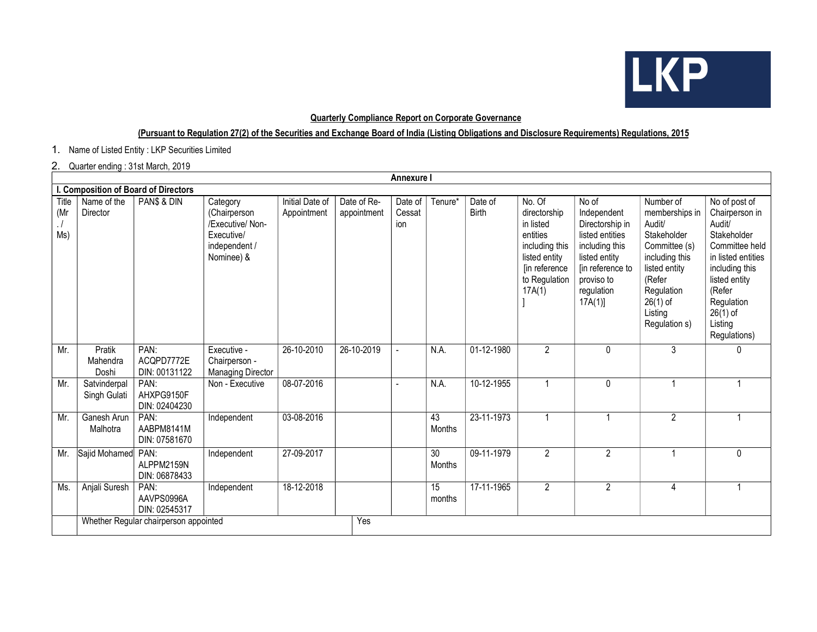

## Quarterly Compliance Report on Corporate Governance

## (Pursuant to Regulation 27(2) of the Securities and Exchange Board of India (Listing Obligations and Disclosure Requirements) Regulations, 2015

1. Name of Listed Entity : LKP Securities Limited

## 2. Quarter ending : 31st March, 2019

|                     | <b>Annexure I</b>                     |                                     |                                                                                           |                                |                            |                          |                           |                         |                                                                                                                                |                                                                                                                                                         |                                                                                                                                                                            |                                                                                                                                                                                                      |
|---------------------|---------------------------------------|-------------------------------------|-------------------------------------------------------------------------------------------|--------------------------------|----------------------------|--------------------------|---------------------------|-------------------------|--------------------------------------------------------------------------------------------------------------------------------|---------------------------------------------------------------------------------------------------------------------------------------------------------|----------------------------------------------------------------------------------------------------------------------------------------------------------------------------|------------------------------------------------------------------------------------------------------------------------------------------------------------------------------------------------------|
|                     | Composition of Board of Directors     |                                     |                                                                                           |                                |                            |                          |                           |                         |                                                                                                                                |                                                                                                                                                         |                                                                                                                                                                            |                                                                                                                                                                                                      |
| Title<br>(Mr<br>Ms) | Name of the<br>Director               | PAN\$ & DIN                         | Category<br>(Chairperson<br>/Executive/ Non-<br>Executive/<br>independent /<br>Nominee) & | Initial Date of<br>Appointment | Date of Re-<br>appointment | Date of<br>Cessat<br>ion | Tenure*                   | Date of<br><b>Birth</b> | No. Of<br>directorship<br>in listed<br>entities<br>including this<br>listed entity<br>[in reference<br>to Regulation<br>17A(1) | No of<br>Independent<br>Directorship in<br>listed entities<br>including this<br>listed entity<br>[in reference to<br>proviso to<br>regulation<br>17A(1) | Number of<br>memberships in<br>Audit/<br>Stakeholder<br>Committee (s)<br>including this<br>listed entity<br>(Refer<br>Regulation<br>$26(1)$ of<br>Listing<br>Regulation s) | No of post of<br>Chairperson in<br>Audit/<br>Stakeholder<br>Committee held<br>in listed entities<br>including this<br>listed entity<br>(Refer<br>Regulation<br>$26(1)$ of<br>Listing<br>Regulations) |
| Mr.                 | Pratik<br>Mahendra<br>Doshi           | PAN:<br>ACQPD7772E<br>DIN: 00131122 | Executive -<br>Chairperson -<br><b>Managing Director</b>                                  | 26-10-2010                     | 26-10-2019                 |                          | N.A.                      | 01-12-1980              | $\overline{2}$                                                                                                                 | $\mathbf{0}$                                                                                                                                            | 3                                                                                                                                                                          | 0                                                                                                                                                                                                    |
| Mr.                 | Satvinderpal<br>Singh Gulati          | PAN:<br>AHXPG9150F<br>DIN: 02404230 | Non - Executive                                                                           | 08-07-2016                     |                            |                          | N.A.                      | 10-12-1955              |                                                                                                                                | 0                                                                                                                                                       |                                                                                                                                                                            |                                                                                                                                                                                                      |
| Mr.                 | Ganesh Arun<br>Malhotra               | PAN:<br>AABPM8141M<br>DIN: 07581670 | Independent                                                                               | 03-08-2016                     |                            |                          | 43<br>Months              | 23-11-1973              | 1                                                                                                                              |                                                                                                                                                         | $\overline{2}$                                                                                                                                                             |                                                                                                                                                                                                      |
| Mr.                 | Sajid Mohamed                         | PAN:<br>ALPPM2159N<br>DIN: 06878433 | Independent                                                                               | 27-09-2017                     |                            |                          | $\overline{30}$<br>Months | 09-11-1979              | $\overline{2}$                                                                                                                 | $\overline{2}$                                                                                                                                          |                                                                                                                                                                            | $\mathbf{0}$                                                                                                                                                                                         |
| Ms.                 | Anjali Suresh                         | PAN:<br>AAVPS0996A<br>DIN: 02545317 | Independent                                                                               | 18-12-2018                     |                            |                          | $\overline{15}$<br>months | 17-11-1965              | $\overline{2}$                                                                                                                 | $\overline{2}$                                                                                                                                          | 4                                                                                                                                                                          |                                                                                                                                                                                                      |
|                     | Whether Regular chairperson appointed |                                     |                                                                                           |                                | Yes                        |                          |                           |                         |                                                                                                                                |                                                                                                                                                         |                                                                                                                                                                            |                                                                                                                                                                                                      |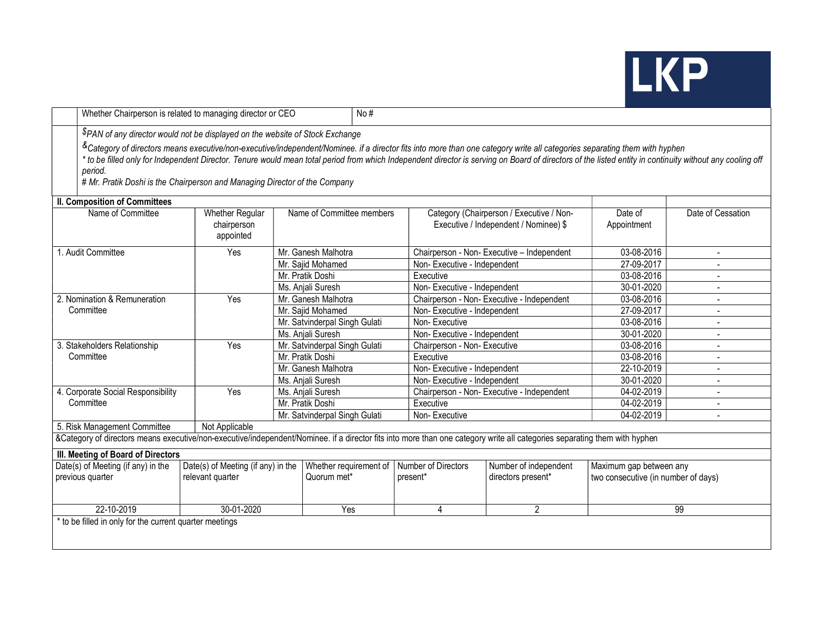# LKP

|                                                                          | Whether Chairperson is related to managing director or CEO                                                                                                                                                                                                                                                                                                                                                                                                                                     |                                                    |                               |                               | No#                          |                                                                                   |                                     |                          |  |
|--------------------------------------------------------------------------|------------------------------------------------------------------------------------------------------------------------------------------------------------------------------------------------------------------------------------------------------------------------------------------------------------------------------------------------------------------------------------------------------------------------------------------------------------------------------------------------|----------------------------------------------------|-------------------------------|-------------------------------|------------------------------|-----------------------------------------------------------------------------------|-------------------------------------|--------------------------|--|
|                                                                          | PAN of any director would not be displayed on the website of Stock Exchange                                                                                                                                                                                                                                                                                                                                                                                                                    |                                                    |                               |                               |                              |                                                                                   |                                     |                          |  |
|                                                                          | <sup>&amp;</sup> Category of directors means executive/non-executive/independent/Nominee. if a director fits into more than one category write all categories separating them with hyphen<br>* to be filled only for Independent Director. Tenure would mean total period from which Independent director is serving on Board of directors of the listed entity in continuity without any cooling off<br>period.<br># Mr. Pratik Doshi is the Chairperson and Managing Director of the Company |                                                    |                               |                               |                              |                                                                                   |                                     |                          |  |
|                                                                          | <b>II. Composition of Committees</b>                                                                                                                                                                                                                                                                                                                                                                                                                                                           |                                                    |                               |                               |                              |                                                                                   |                                     |                          |  |
| Name of Committee                                                        |                                                                                                                                                                                                                                                                                                                                                                                                                                                                                                | <b>Whether Regular</b><br>chairperson<br>appointed | Name of Committee members     |                               |                              | Category (Chairperson / Executive / Non-<br>Executive / Independent / Nominee) \$ |                                     | Date of Cessation        |  |
|                                                                          | . Audit Committee                                                                                                                                                                                                                                                                                                                                                                                                                                                                              | Yes                                                | Mr. Ganesh Malhotra           |                               |                              | Chairperson - Non-Executive - Independent                                         |                                     | $\overline{\phantom{a}}$ |  |
|                                                                          |                                                                                                                                                                                                                                                                                                                                                                                                                                                                                                |                                                    |                               | Mr. Sajid Mohamed             |                              | Non-Executive - Independent                                                       |                                     |                          |  |
|                                                                          |                                                                                                                                                                                                                                                                                                                                                                                                                                                                                                |                                                    |                               | Mr. Pratik Doshi              | Executive                    |                                                                                   |                                     | $\overline{\phantom{a}}$ |  |
|                                                                          |                                                                                                                                                                                                                                                                                                                                                                                                                                                                                                |                                                    |                               | Ms. Anjali Suresh             |                              | Non-Executive - Independent                                                       |                                     |                          |  |
|                                                                          | 2. Nomination & Remuneration                                                                                                                                                                                                                                                                                                                                                                                                                                                                   | Yes                                                | Mr. Ganesh Malhotra           |                               |                              | Chairperson - Non- Executive - Independent                                        |                                     |                          |  |
|                                                                          | Committee                                                                                                                                                                                                                                                                                                                                                                                                                                                                                      |                                                    | Mr. Sajid Mohamed             |                               |                              | Non-Executive - Independent                                                       |                                     |                          |  |
|                                                                          |                                                                                                                                                                                                                                                                                                                                                                                                                                                                                                |                                                    | Mr. Satvinderpal Singh Gulati |                               | Non-Executive                |                                                                                   |                                     |                          |  |
|                                                                          |                                                                                                                                                                                                                                                                                                                                                                                                                                                                                                |                                                    |                               | Ms. Anjali Suresh             | Non-Executive - Independent  |                                                                                   | 30-01-2020                          |                          |  |
|                                                                          | 3. Stakeholders Relationship                                                                                                                                                                                                                                                                                                                                                                                                                                                                   | Yes                                                |                               | Mr. Satvinderpal Singh Gulati | Chairperson - Non- Executive |                                                                                   | 03-08-2016                          | $\overline{a}$           |  |
|                                                                          | Committee                                                                                                                                                                                                                                                                                                                                                                                                                                                                                      |                                                    |                               | Mr. Pratik Doshi              | Executive                    |                                                                                   | 03-08-2016                          |                          |  |
|                                                                          |                                                                                                                                                                                                                                                                                                                                                                                                                                                                                                |                                                    |                               | Mr. Ganesh Malhotra           | Non-Executive - Independent  |                                                                                   | 22-10-2019<br>30-01-2020            |                          |  |
|                                                                          |                                                                                                                                                                                                                                                                                                                                                                                                                                                                                                |                                                    |                               | Ms. Anjali Suresh             |                              | Non-Executive - Independent                                                       |                                     |                          |  |
|                                                                          | 4. Corporate Social Responsibility                                                                                                                                                                                                                                                                                                                                                                                                                                                             | Yes                                                | Ms. Anjali Suresh             |                               |                              | Chairperson - Non- Executive - Independent                                        |                                     |                          |  |
|                                                                          | Committee                                                                                                                                                                                                                                                                                                                                                                                                                                                                                      |                                                    | Mr. Pratik Doshi              |                               | Executive                    |                                                                                   |                                     |                          |  |
|                                                                          |                                                                                                                                                                                                                                                                                                                                                                                                                                                                                                |                                                    | Mr. Satvinderpal Singh Gulati |                               | Non-Executive                |                                                                                   |                                     | $\blacksquare$           |  |
|                                                                          | 5. Risk Management Committee                                                                                                                                                                                                                                                                                                                                                                                                                                                                   | Not Applicable                                     |                               |                               |                              |                                                                                   |                                     |                          |  |
|                                                                          | &Category of directors means executive/non-executive/independent/Nominee. if a director fits into more than one category write all categories separating them with hyphen                                                                                                                                                                                                                                                                                                                      |                                                    |                               |                               |                              |                                                                                   |                                     |                          |  |
|                                                                          | III. Meeting of Board of Directors                                                                                                                                                                                                                                                                                                                                                                                                                                                             |                                                    |                               |                               |                              |                                                                                   |                                     |                          |  |
| Date(s) of Meeting (if any) in the<br>Date(s) of Meeting (if any) in the |                                                                                                                                                                                                                                                                                                                                                                                                                                                                                                |                                                    | Whether requirement of        | Number of Directors           | Number of independent        | Maximum gap between any                                                           |                                     |                          |  |
| previous quarter                                                         |                                                                                                                                                                                                                                                                                                                                                                                                                                                                                                | relevant quarter                                   |                               | Quorum met*                   | present*                     | directors present*                                                                | two consecutive (in number of days) |                          |  |
| 22-10-2019                                                               |                                                                                                                                                                                                                                                                                                                                                                                                                                                                                                | 30-01-2020                                         | Yes                           |                               | 4                            | $\overline{2}$                                                                    |                                     | 99                       |  |
|                                                                          | * to be filled in only for the current quarter meetings                                                                                                                                                                                                                                                                                                                                                                                                                                        |                                                    |                               |                               |                              |                                                                                   |                                     |                          |  |
|                                                                          |                                                                                                                                                                                                                                                                                                                                                                                                                                                                                                |                                                    |                               |                               |                              |                                                                                   |                                     |                          |  |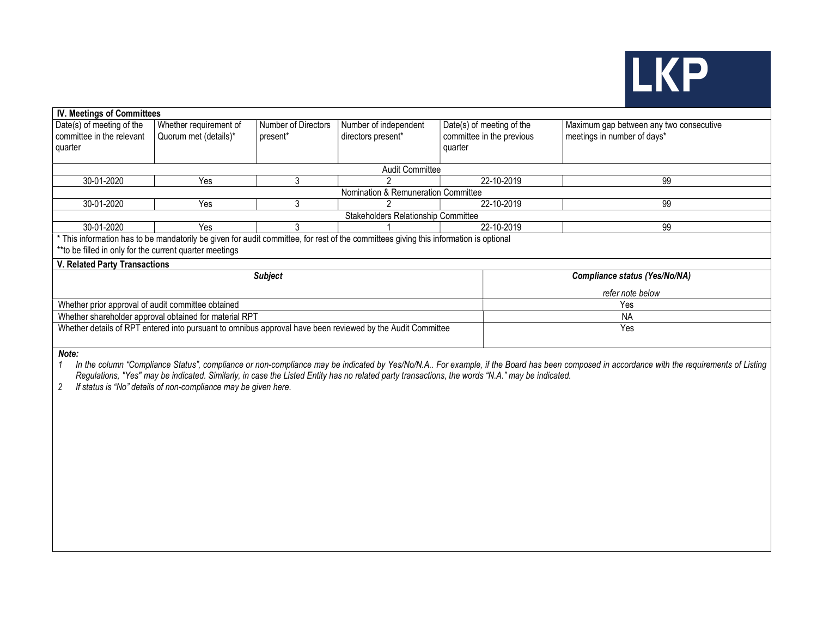

#### IV. Meetings of Committees Date(s) of meeting of the committee in the relevant quarter Whether requirement of Quorum met (details)\* Number of Directors present\* Number of independent directors present\* Date(s) of meeting of the committee in the previous quarter Maximum gap between any two consecutive meetings in number of days\* Audit Committee 30-01-2020 | Yes | 3 | 2 | 22-10-2019 | 99 Nomination & Remuneration Committee 30-01-2020 | Yes | 3 | 2 | 22-10-2019 | 99 Stakeholders Relationship Committee 30-01-2020 | Yes | 3 | 1 | 22-10-2019 | 99 \* This information has to be mandatorily be given for audit committee, for rest of the committees giving this information is optional \*\*to be filled in only for the current quarter meetings V. Related Party Transactions Subject Compliance status (Yes/No/NA) refer note below Whether prior approval of audit committee obtained Yes Whether shareholder approval obtained for material RPT NA Whether details of RPT entered into pursuant to omnibus approval have been reviewed by the Audit Committee Yes

Note:

1 In the column "Compliance Status", compliance or non-compliance may be indicated by Yes/No/N.A.. For example, if the Board has been composed in accordance with the requirements of Listing Regulations, "Yes" may be indicated. Similarly, in case the Listed Entity has no related party transactions, the words "N.A." may be indicated.

2 If status is "No" details of non-compliance may be given here.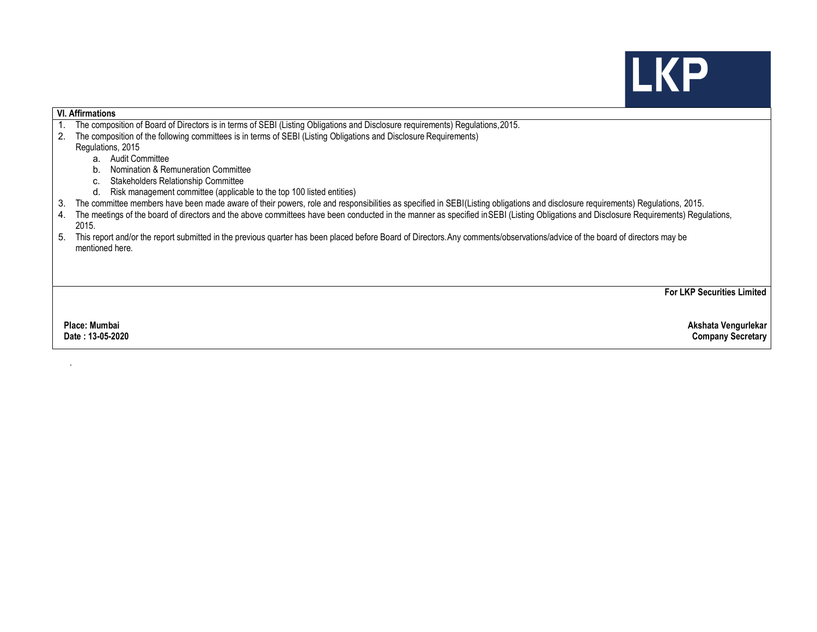## **LKP**

## VI. Affirmations

- 1. The composition of Board of Directors is in terms of SEBI (Listing Obligations and Disclosure requirements) Regulations,2015.
- 2. The composition of the following committees is in terms of SEBI (Listing Obligations and Disclosure Requirements)

Regulations, 2015

- a. Audit Committee
- b. Nomination & Remuneration Committee
- c. Stakeholders Relationship Committee
- d. Risk management committee (applicable to the top 100 listed entities)
- 3. The committee members have been made aware of their powers, role and responsibilities as specified in SEBI (Listing obligations and disclosure requirements) Regulations, 2015.
- 4. The meetings of the board of directors and the above committees have been conducted in the manner as specified in SEBI (Listing Obligations and Disclosure Requirements) Regulations, 2015.
- 5. This report and/or the report submitted in the previous quarter has been placed before Board of Directors. Any comments/observations/advice of the board of directors may be mentioned here.

For LKP Securities Limited

.

 Place: Mumbai Akshata Vengurlekar Date : 13-05-2020 Company Secretary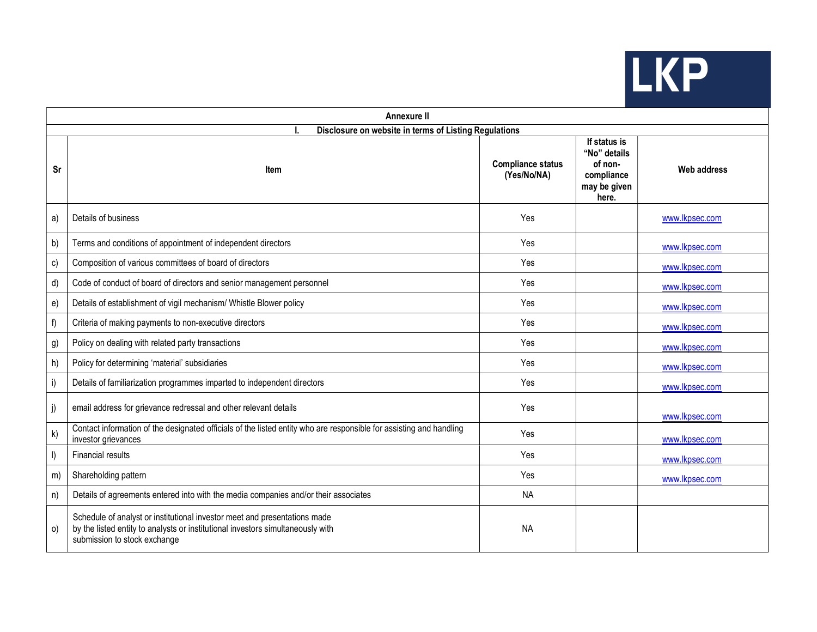

| Annexure II                                           |                                                                                                                                                                                              |                                         |                                                                                |                    |  |  |  |  |  |
|-------------------------------------------------------|----------------------------------------------------------------------------------------------------------------------------------------------------------------------------------------------|-----------------------------------------|--------------------------------------------------------------------------------|--------------------|--|--|--|--|--|
| Disclosure on website in terms of Listing Regulations |                                                                                                                                                                                              |                                         |                                                                                |                    |  |  |  |  |  |
| Sr                                                    | <b>Item</b>                                                                                                                                                                                  | <b>Compliance status</b><br>(Yes/No/NA) | If status is<br>"No" details<br>of non-<br>compliance<br>may be given<br>here. | <b>Web address</b> |  |  |  |  |  |
| a)                                                    | Details of business                                                                                                                                                                          | Yes                                     |                                                                                | www.lkpsec.com     |  |  |  |  |  |
| b)                                                    | Terms and conditions of appointment of independent directors                                                                                                                                 | Yes                                     |                                                                                | www.lkpsec.com     |  |  |  |  |  |
| c)                                                    | Composition of various committees of board of directors                                                                                                                                      | Yes                                     |                                                                                | www.lkpsec.com     |  |  |  |  |  |
| d)                                                    | Code of conduct of board of directors and senior management personnel                                                                                                                        | Yes                                     |                                                                                | www.lkpsec.com     |  |  |  |  |  |
| e)                                                    | Details of establishment of vigil mechanism/ Whistle Blower policy                                                                                                                           | Yes                                     |                                                                                | www.lkpsec.com     |  |  |  |  |  |
| f)                                                    | Criteria of making payments to non-executive directors                                                                                                                                       | Yes                                     |                                                                                | www.lkpsec.com     |  |  |  |  |  |
| g)                                                    | Policy on dealing with related party transactions                                                                                                                                            | Yes                                     |                                                                                | www.lkpsec.com     |  |  |  |  |  |
| h)                                                    | Policy for determining 'material' subsidiaries                                                                                                                                               | Yes                                     |                                                                                | www.lkpsec.com     |  |  |  |  |  |
| i)                                                    | Details of familiarization programmes imparted to independent directors                                                                                                                      | Yes                                     |                                                                                | www.lkpsec.com     |  |  |  |  |  |
| j)                                                    | email address for grievance redressal and other relevant details                                                                                                                             | Yes                                     |                                                                                | www.lkpsec.com     |  |  |  |  |  |
| k)                                                    | Contact information of the designated officials of the listed entity who are responsible for assisting and handling<br>investor grievances                                                   | Yes                                     |                                                                                | www.lkpsec.com     |  |  |  |  |  |
|                                                       | <b>Financial results</b>                                                                                                                                                                     | Yes                                     |                                                                                | www.lkpsec.com     |  |  |  |  |  |
| m)                                                    | Shareholding pattern                                                                                                                                                                         | Yes                                     |                                                                                | www.lkpsec.com     |  |  |  |  |  |
| n)                                                    | Details of agreements entered into with the media companies and/or their associates                                                                                                          | <b>NA</b>                               |                                                                                |                    |  |  |  |  |  |
| O)                                                    | Schedule of analyst or institutional investor meet and presentations made<br>by the listed entity to analysts or institutional investors simultaneously with<br>submission to stock exchange | <b>NA</b>                               |                                                                                |                    |  |  |  |  |  |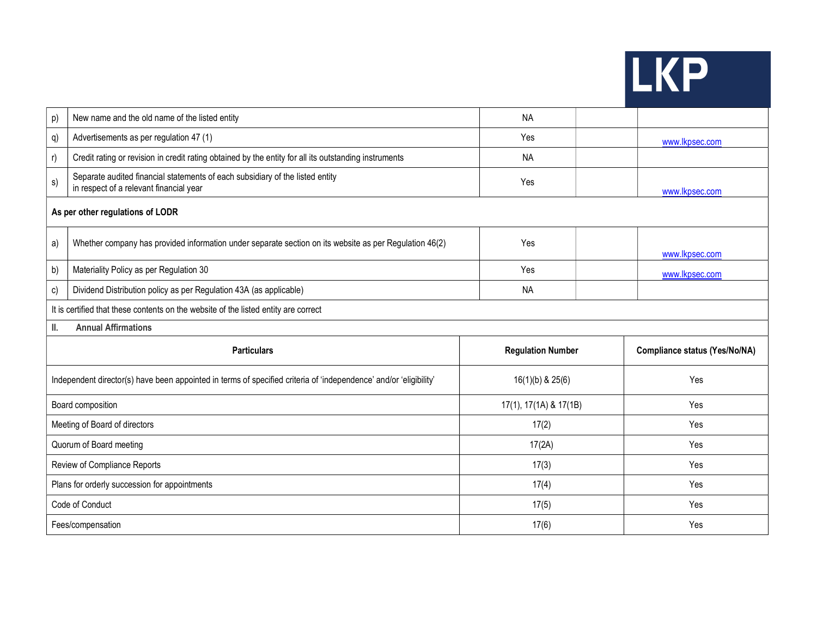| IN ST |
|-------|
|-------|

a a

| p)                                                                                  | New name and the old name of the listed entity                                                                           | <b>NA</b>                |                                      |  |  |  |  |  |
|-------------------------------------------------------------------------------------|--------------------------------------------------------------------------------------------------------------------------|--------------------------|--------------------------------------|--|--|--|--|--|
| q)                                                                                  | Advertisements as per regulation 47 (1)                                                                                  | Yes                      | www.lkpsec.com                       |  |  |  |  |  |
| r)                                                                                  | Credit rating or revision in credit rating obtained by the entity for all its outstanding instruments                    | <b>NA</b>                |                                      |  |  |  |  |  |
| s)                                                                                  | Separate audited financial statements of each subsidiary of the listed entity<br>in respect of a relevant financial year | Yes                      | www.lkpsec.com                       |  |  |  |  |  |
| As per other regulations of LODR                                                    |                                                                                                                          |                          |                                      |  |  |  |  |  |
| a)                                                                                  | Whether company has provided information under separate section on its website as per Regulation 46(2)                   | Yes                      | www.lkpsec.com                       |  |  |  |  |  |
| b)                                                                                  | Materiality Policy as per Regulation 30                                                                                  | Yes                      | www.lkpsec.com                       |  |  |  |  |  |
| c)                                                                                  | Dividend Distribution policy as per Regulation 43A (as applicable)                                                       | <b>NA</b>                |                                      |  |  |  |  |  |
| It is certified that these contents on the website of the listed entity are correct |                                                                                                                          |                          |                                      |  |  |  |  |  |
|                                                                                     |                                                                                                                          |                          |                                      |  |  |  |  |  |
| Ш.                                                                                  | <b>Annual Affirmations</b>                                                                                               |                          |                                      |  |  |  |  |  |
|                                                                                     | <b>Particulars</b>                                                                                                       | <b>Regulation Number</b> | <b>Compliance status (Yes/No/NA)</b> |  |  |  |  |  |
|                                                                                     | Independent director(s) have been appointed in terms of specified criteria of 'independence' and/or 'eligibility'        | $16(1)(b)$ & $25(6)$     | Yes                                  |  |  |  |  |  |
|                                                                                     | Board composition                                                                                                        | 17(1), 17(1A) & 17(1B)   | Yes                                  |  |  |  |  |  |
|                                                                                     | Meeting of Board of directors                                                                                            | 17(2)                    | Yes                                  |  |  |  |  |  |
|                                                                                     | Quorum of Board meeting                                                                                                  | 17(2A)                   | Yes                                  |  |  |  |  |  |
|                                                                                     | Review of Compliance Reports                                                                                             | 17(3)                    | Yes                                  |  |  |  |  |  |
|                                                                                     | Plans for orderly succession for appointments                                                                            | 17(4)                    | Yes                                  |  |  |  |  |  |
|                                                                                     | Code of Conduct                                                                                                          | 17(5)                    | Yes                                  |  |  |  |  |  |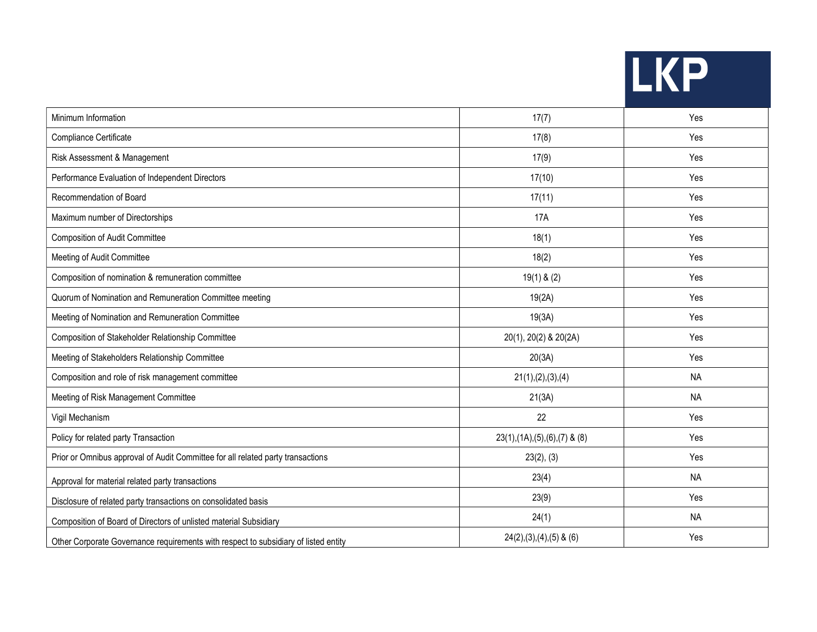| 74 p<br>NU |  |
|------------|--|
|------------|--|

an i

| Minimum Information                                                                 | 17(7)                              | Yes       |
|-------------------------------------------------------------------------------------|------------------------------------|-----------|
| Compliance Certificate                                                              | 17(8)                              | Yes       |
| Risk Assessment & Management                                                        | 17(9)                              | Yes       |
| Performance Evaluation of Independent Directors                                     | 17(10)                             | Yes       |
| Recommendation of Board                                                             | 17(11)                             | Yes       |
| Maximum number of Directorships                                                     | <b>17A</b>                         | Yes       |
| <b>Composition of Audit Committee</b>                                               | 18(1)                              | Yes       |
| Meeting of Audit Committee                                                          | 18(2)                              | Yes       |
| Composition of nomination & remuneration committee                                  | $19(1)$ & $(2)$                    | Yes       |
| Quorum of Nomination and Remuneration Committee meeting                             | 19(2A)                             | Yes       |
| Meeting of Nomination and Remuneration Committee                                    | 19(3A)                             | Yes       |
| Composition of Stakeholder Relationship Committee                                   | 20(1), 20(2) & 20(2A)              | Yes       |
| Meeting of Stakeholders Relationship Committee                                      | 20(3A)                             | Yes       |
| Composition and role of risk management committee                                   | 21(1), (2), (3), (4)               | <b>NA</b> |
| Meeting of Risk Management Committee                                                | 21(3A)                             | <b>NA</b> |
| Vigil Mechanism                                                                     | 22                                 | Yes       |
| Policy for related party Transaction                                                | $23(1), (1A), (5), (6), (7)$ & (8) | Yes       |
| Prior or Omnibus approval of Audit Committee for all related party transactions     | 23(2), (3)                         | Yes       |
| Approval for material related party transactions                                    | 23(4)                              | <b>NA</b> |
| Disclosure of related party transactions on consolidated basis                      | 23(9)                              | Yes       |
| Composition of Board of Directors of unlisted material Subsidiary                   | 24(1)                              | <b>NA</b> |
| Other Corporate Governance requirements with respect to subsidiary of listed entity | $24(2),(3),(4),(5)$ & $(6)$        | Yes       |